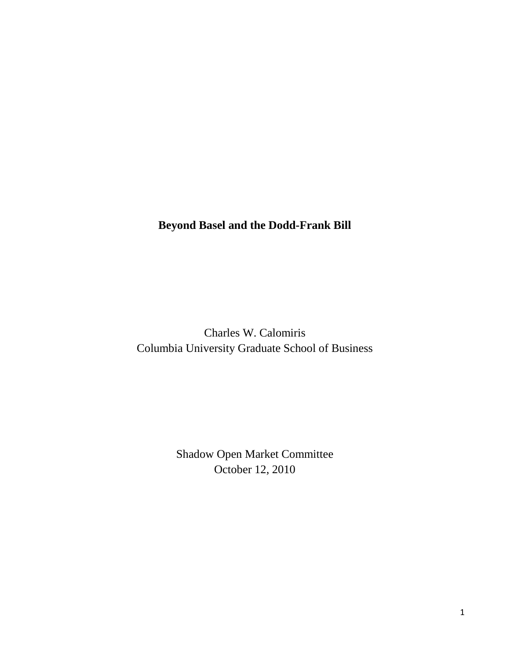## **Beyond Basel and the Dodd-Frank Bill**

Charles W. Calomiris Columbia University Graduate School of Business

> Shadow Open Market Committee October 12, 2010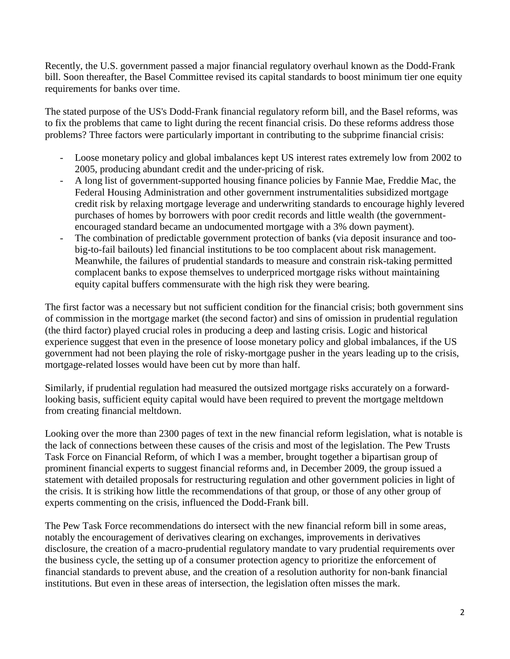Recently, the U.S. government passed a major financial regulatory overhaul known as the Dodd-Frank bill. Soon thereafter, the Basel Committee revised its capital standards to boost minimum tier one equity requirements for banks over time.

The stated purpose of the US's Dodd-Frank financial regulatory reform bill, and the Basel reforms, was to fix the problems that came to light during the recent financial crisis. Do these reforms address those problems? Three factors were particularly important in contributing to the subprime financial crisis:

- Loose monetary policy and global imbalances kept US interest rates extremely low from 2002 to 2005, producing abundant credit and the under-pricing of risk.
- A long list of government-supported housing finance policies by Fannie Mae, Freddie Mac, the Federal Housing Administration and other government instrumentalities subsidized mortgage credit risk by relaxing mortgage leverage and underwriting standards to encourage highly levered purchases of homes by borrowers with poor credit records and little wealth (the governmentencouraged standard became an undocumented mortgage with a 3% down payment).
- The combination of predictable government protection of banks (via deposit insurance and toobig-to-fail bailouts) led financial institutions to be too complacent about risk management. Meanwhile, the failures of prudential standards to measure and constrain risk-taking permitted complacent banks to expose themselves to underpriced mortgage risks without maintaining equity capital buffers commensurate with the high risk they were bearing.

The first factor was a necessary but not sufficient condition for the financial crisis; both government sins of commission in the mortgage market (the second factor) and sins of omission in prudential regulation (the third factor) played crucial roles in producing a deep and lasting crisis. Logic and historical experience suggest that even in the presence of loose monetary policy and global imbalances, if the US government had not been playing the role of risky-mortgage pusher in the years leading up to the crisis, mortgage-related losses would have been cut by more than half.

Similarly, if prudential regulation had measured the outsized mortgage risks accurately on a forwardlooking basis, sufficient equity capital would have been required to prevent the mortgage meltdown from creating financial meltdown.

Looking over the more than 2300 pages of text in the new financial reform legislation, what is notable is the lack of connections between these causes of the crisis and most of the legislation. The Pew Trusts Task Force on Financial Reform, of which I was a member, brought together a bipartisan group of prominent financial experts to suggest financial reforms and, in December 2009, the group issued a statement with detailed proposals for restructuring regulation and other government policies in light of the crisis. It is striking how little the recommendations of that group, or those of any other group of experts commenting on the crisis, influenced the Dodd-Frank bill.

The Pew Task Force recommendations do intersect with the new financial reform bill in some areas, notably the encouragement of derivatives clearing on exchanges, improvements in derivatives disclosure, the creation of a macro-prudential regulatory mandate to vary prudential requirements over the business cycle, the setting up of a consumer protection agency to prioritize the enforcement of financial standards to prevent abuse, and the creation of a resolution authority for non-bank financial institutions. But even in these areas of intersection, the legislation often misses the mark.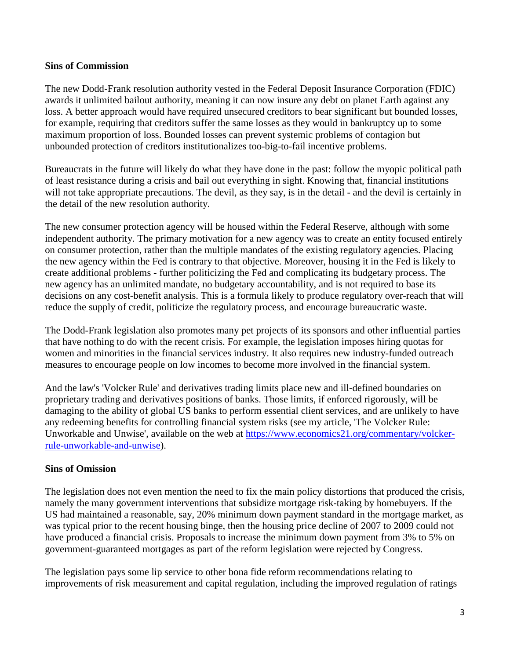## **Sins of Commission**

The new Dodd-Frank resolution authority vested in the Federal Deposit Insurance Corporation (FDIC) awards it unlimited bailout authority, meaning it can now insure any debt on planet Earth against any loss. A better approach would have required unsecured creditors to bear significant but bounded losses, for example, requiring that creditors suffer the same losses as they would in bankruptcy up to some maximum proportion of loss. Bounded losses can prevent systemic problems of contagion but unbounded protection of creditors institutionalizes too-big-to-fail incentive problems.

Bureaucrats in the future will likely do what they have done in the past: follow the myopic political path of least resistance during a crisis and bail out everything in sight. Knowing that, financial institutions will not take appropriate precautions. The devil, as they say, is in the detail - and the devil is certainly in the detail of the new resolution authority.

The new consumer protection agency will be housed within the Federal Reserve, although with some independent authority. The primary motivation for a new agency was to create an entity focused entirely on consumer protection, rather than the multiple mandates of the existing regulatory agencies. Placing the new agency within the Fed is contrary to that objective. Moreover, housing it in the Fed is likely to create additional problems - further politicizing the Fed and complicating its budgetary process. The new agency has an unlimited mandate, no budgetary accountability, and is not required to base its decisions on any cost-benefit analysis. This is a formula likely to produce regulatory over-reach that will reduce the supply of credit, politicize the regulatory process, and encourage bureaucratic waste.

The Dodd-Frank legislation also promotes many pet projects of its sponsors and other influential parties that have nothing to do with the recent crisis. For example, the legislation imposes hiring quotas for women and minorities in the financial services industry. It also requires new industry-funded outreach measures to encourage people on low incomes to become more involved in the financial system.

And the law's 'Volcker Rule' and derivatives trading limits place new and ill-defined boundaries on proprietary trading and derivatives positions of banks. Those limits, if enforced rigorously, will be damaging to the ability of global US banks to perform essential client services, and are unlikely to have any redeeming benefits for controlling financial system risks (see my article, 'The Volcker Rule: Unworkable and Unwise', available on the web at [https://www.economics21.org/commentary/volcker](https://www.economics21.org/commentary/volcker-rule-unworkable-and-unwise)[rule-unworkable-and-unwise\)](https://www.economics21.org/commentary/volcker-rule-unworkable-and-unwise).

## **Sins of Omission**

The legislation does not even mention the need to fix the main policy distortions that produced the crisis, namely the many government interventions that subsidize mortgage risk-taking by homebuyers. If the US had maintained a reasonable, say, 20% minimum down payment standard in the mortgage market, as was typical prior to the recent housing binge, then the housing price decline of 2007 to 2009 could not have produced a financial crisis. Proposals to increase the minimum down payment from 3% to 5% on government-guaranteed mortgages as part of the reform legislation were rejected by Congress.

The legislation pays some lip service to other bona fide reform recommendations relating to improvements of risk measurement and capital regulation, including the improved regulation of ratings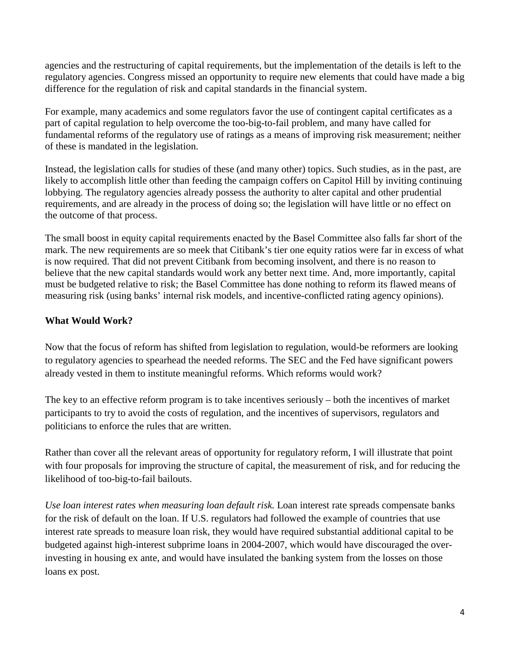agencies and the restructuring of capital requirements, but the implementation of the details is left to the regulatory agencies. Congress missed an opportunity to require new elements that could have made a big difference for the regulation of risk and capital standards in the financial system.

For example, many academics and some regulators favor the use of contingent capital certificates as a part of capital regulation to help overcome the too-big-to-fail problem, and many have called for fundamental reforms of the regulatory use of ratings as a means of improving risk measurement; neither of these is mandated in the legislation.

Instead, the legislation calls for studies of these (and many other) topics. Such studies, as in the past, are likely to accomplish little other than feeding the campaign coffers on Capitol Hill by inviting continuing lobbying. The regulatory agencies already possess the authority to alter capital and other prudential requirements, and are already in the process of doing so; the legislation will have little or no effect on the outcome of that process.

The small boost in equity capital requirements enacted by the Basel Committee also falls far short of the mark. The new requirements are so meek that Citibank's tier one equity ratios were far in excess of what is now required. That did not prevent Citibank from becoming insolvent, and there is no reason to believe that the new capital standards would work any better next time. And, more importantly, capital must be budgeted relative to risk; the Basel Committee has done nothing to reform its flawed means of measuring risk (using banks' internal risk models, and incentive-conflicted rating agency opinions).

## **What Would Work?**

Now that the focus of reform has shifted from legislation to regulation, would-be reformers are looking to regulatory agencies to spearhead the needed reforms. The SEC and the Fed have significant powers already vested in them to institute meaningful reforms. Which reforms would work?

The key to an effective reform program is to take incentives seriously – both the incentives of market participants to try to avoid the costs of regulation, and the incentives of supervisors, regulators and politicians to enforce the rules that are written.

Rather than cover all the relevant areas of opportunity for regulatory reform, I will illustrate that point with four proposals for improving the structure of capital, the measurement of risk, and for reducing the likelihood of too-big-to-fail bailouts.

*Use loan interest rates when measuring loan default risk.* Loan interest rate spreads compensate banks for the risk of default on the loan. If U.S. regulators had followed the example of countries that use interest rate spreads to measure loan risk, they would have required substantial additional capital to be budgeted against high-interest subprime loans in 2004-2007, which would have discouraged the overinvesting in housing ex ante, and would have insulated the banking system from the losses on those loans ex post.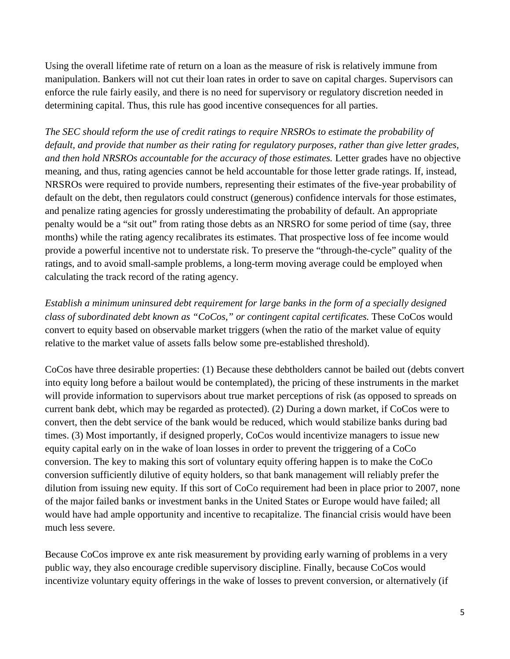Using the overall lifetime rate of return on a loan as the measure of risk is relatively immune from manipulation. Bankers will not cut their loan rates in order to save on capital charges. Supervisors can enforce the rule fairly easily, and there is no need for supervisory or regulatory discretion needed in determining capital. Thus, this rule has good incentive consequences for all parties.

*The SEC should* r*eform the use of credit ratings to require NRSROs to estimate the probability of default, and provide that number as their rating for regulatory purposes, rather than give letter grades, and then hold NRSROs accountable for the accuracy of those estimates.* Letter grades have no objective meaning, and thus, rating agencies cannot be held accountable for those letter grade ratings. If, instead, NRSROs were required to provide numbers, representing their estimates of the five-year probability of default on the debt, then regulators could construct (generous) confidence intervals for those estimates, and penalize rating agencies for grossly underestimating the probability of default. An appropriate penalty would be a "sit out" from rating those debts as an NRSRO for some period of time (say, three months) while the rating agency recalibrates its estimates. That prospective loss of fee income would provide a powerful incentive not to understate risk. To preserve the "through-the-cycle" quality of the ratings, and to avoid small-sample problems, a long-term moving average could be employed when calculating the track record of the rating agency.

*Establish a minimum uninsured debt requirement for large banks in the form of a specially designed class of subordinated debt known as "CoCos," or contingent capital certificates.* These CoCos would convert to equity based on observable market triggers (when the ratio of the market value of equity relative to the market value of assets falls below some pre-established threshold).

CoCos have three desirable properties: (1) Because these debtholders cannot be bailed out (debts convert into equity long before a bailout would be contemplated), the pricing of these instruments in the market will provide information to supervisors about true market perceptions of risk (as opposed to spreads on current bank debt, which may be regarded as protected). (2) During a down market, if CoCos were to convert, then the debt service of the bank would be reduced, which would stabilize banks during bad times. (3) Most importantly, if designed properly, CoCos would incentivize managers to issue new equity capital early on in the wake of loan losses in order to prevent the triggering of a CoCo conversion. The key to making this sort of voluntary equity offering happen is to make the CoCo conversion sufficiently dilutive of equity holders, so that bank management will reliably prefer the dilution from issuing new equity. If this sort of CoCo requirement had been in place prior to 2007, none of the major failed banks or investment banks in the United States or Europe would have failed; all would have had ample opportunity and incentive to recapitalize. The financial crisis would have been much less severe.

Because CoCos improve ex ante risk measurement by providing early warning of problems in a very public way, they also encourage credible supervisory discipline. Finally, because CoCos would incentivize voluntary equity offerings in the wake of losses to prevent conversion, or alternatively (if